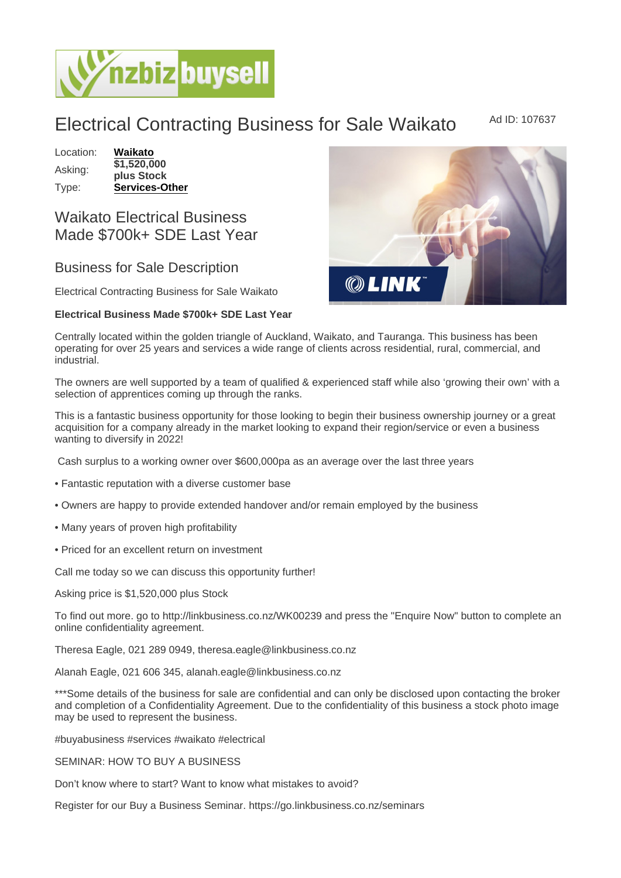Electrical Contracting Business for Sale Waikato Ad ID: 107637

Location: [Waikato](https://www.nzbizbuysell.co.nz/businesses-for-sale/location/Waikato) Asking: \$1,520,000 plus Stock Type: [Services-Other](https://www.nzbizbuysell.co.nz/businesses-for-sale/Services/New-Zealand)

## Waikato Electrical Business Made \$700k+ SDE Last Year

## Business for Sale Description

Electrical Contracting Business for Sale Waikato

Electrical Business Made \$700k+ SDE Last Year

Centrally located within the golden triangle of Auckland, Waikato, and Tauranga. This business has been operating for over 25 years and services a wide range of clients across residential, rural, commercial, and industrial.

The owners are well supported by a team of qualified & experienced staff while also 'growing their own' with a selection of apprentices coming up through the ranks.

This is a fantastic business opportunity for those looking to begin their business ownership journey or a great acquisition for a company already in the market looking to expand their region/service or even a business wanting to diversify in 2022!

Cash surplus to a working owner over \$600,000pa as an average over the last three years

- Fantastic reputation with a diverse customer base
- Owners are happy to provide extended handover and/or remain employed by the business
- Many years of proven high profitability
- Priced for an excellent return on investment

Call me today so we can discuss this opportunity further!

Asking price is \$1,520,000 plus Stock

To find out more. go to http://linkbusiness.co.nz/WK00239 and press the "Enquire Now" button to complete an online confidentiality agreement.

Theresa Eagle, 021 289 0949, theresa.eagle@linkbusiness.co.nz

Alanah Eagle, 021 606 345, alanah.eagle@linkbusiness.co.nz

\*\*\*Some details of the business for sale are confidential and can only be disclosed upon contacting the broker and completion of a Confidentiality Agreement. Due to the confidentiality of this business a stock photo image may be used to represent the business.

#buyabusiness #services #waikato #electrical

SEMINAR: HOW TO BUY A BUSINESS

Don't know where to start? Want to know what mistakes to avoid?

Register for our Buy a Business Seminar. https://go.linkbusiness.co.nz/seminars